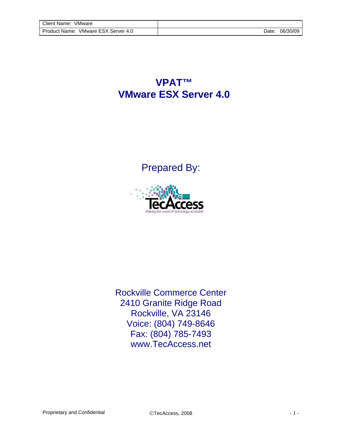**VPAT™ VMware ESX Server 4.0**

Prepared By:



Rockville Commerce Center 2410 Granite Ridge Road Rockville, VA 23146 Voice: (804) 749-8646 Fax: (804) 785-7493 www.TecAccess.net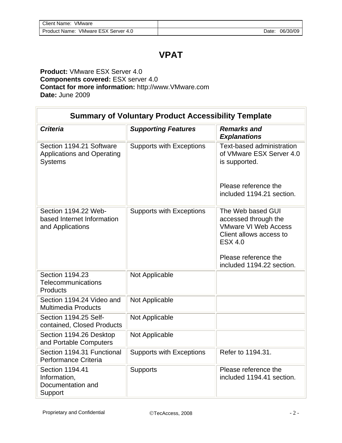## **VPAT**

## **Product:** VMware ESX Server 4.0 **Components covered:** ESX server 4.0 **Contact for more information:** http://www.VMware.com **Date:** June 2009

| <b>Summary of Voluntary Product Accessibility Template</b>                      |                                 |                                                                                                                                                                            |  |
|---------------------------------------------------------------------------------|---------------------------------|----------------------------------------------------------------------------------------------------------------------------------------------------------------------------|--|
| <b>Criteria</b>                                                                 | <b>Supporting Features</b>      | <b>Remarks and</b><br><b>Explanations</b>                                                                                                                                  |  |
| Section 1194.21 Software<br><b>Applications and Operating</b><br><b>Systems</b> | <b>Supports with Exceptions</b> | Text-based administration<br>of VMware ESX Server 4.0<br>is supported.                                                                                                     |  |
|                                                                                 |                                 | Please reference the<br>included 1194.21 section.                                                                                                                          |  |
| Section 1194.22 Web-<br>based Internet Information<br>and Applications          | <b>Supports with Exceptions</b> | The Web based GUI<br>accessed through the<br><b>VMware VI Web Access</b><br>Client allows access to<br><b>ESX 4.0</b><br>Please reference the<br>included 1194.22 section. |  |
| Section 1194.23<br>Telecommunications<br><b>Products</b>                        | Not Applicable                  |                                                                                                                                                                            |  |
| Section 1194.24 Video and<br><b>Multimedia Products</b>                         | Not Applicable                  |                                                                                                                                                                            |  |
| Section 1194.25 Self-<br>contained, Closed Products                             | Not Applicable                  |                                                                                                                                                                            |  |
| Section 1194.26 Desktop<br>and Portable Computers                               | Not Applicable                  |                                                                                                                                                                            |  |
| Section 1194.31 Functional<br>Performance Criteria                              | <b>Supports with Exceptions</b> | Refer to 1194.31.                                                                                                                                                          |  |
| Section 1194.41<br>Information,<br>Documentation and<br>Support                 | <b>Supports</b>                 | Please reference the<br>included 1194.41 section.                                                                                                                          |  |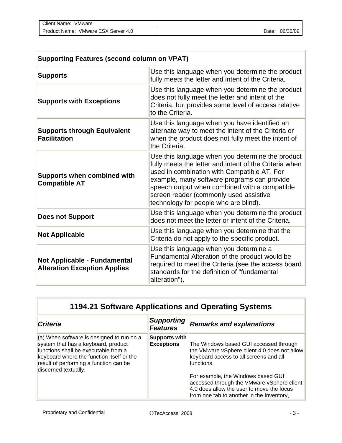| Client Name:<br>VMware                 |       |          |
|----------------------------------------|-------|----------|
| VMware ESX Server 4.0<br>Product Name: | Date: | 06/30/09 |

| <b>Supporting Features (second column on VPAT)</b>                  |                                                                                                                                                                                                                                                                                                                                              |  |
|---------------------------------------------------------------------|----------------------------------------------------------------------------------------------------------------------------------------------------------------------------------------------------------------------------------------------------------------------------------------------------------------------------------------------|--|
| <b>Supports</b>                                                     | Use this language when you determine the product<br>fully meets the letter and intent of the Criteria.                                                                                                                                                                                                                                       |  |
| <b>Supports with Exceptions</b>                                     | Use this language when you determine the product<br>does not fully meet the letter and intent of the<br>Criteria, but provides some level of access relative<br>to the Criteria.                                                                                                                                                             |  |
| <b>Supports through Equivalent</b><br><b>Facilitation</b>           | Use this language when you have identified an<br>alternate way to meet the intent of the Criteria or<br>when the product does not fully meet the intent of<br>the Criteria.                                                                                                                                                                  |  |
| <b>Supports when combined with</b><br><b>Compatible AT</b>          | Use this language when you determine the product<br>fully meets the letter and intent of the Criteria when<br>used in combination with Compatible AT. For<br>example, many software programs can provide<br>speech output when combined with a compatible<br>screen reader (commonly used assistive<br>technology for people who are blind). |  |
| <b>Does not Support</b>                                             | Use this language when you determine the product<br>does not meet the letter or intent of the Criteria.                                                                                                                                                                                                                                      |  |
| <b>Not Applicable</b>                                               | Use this language when you determine that the<br>Criteria do not apply to the specific product.                                                                                                                                                                                                                                              |  |
| Not Applicable - Fundamental<br><b>Alteration Exception Applies</b> | Use this language when you determine a<br>Fundamental Alteration of the product would be<br>required to meet the Criteria (see the access board<br>standards for the definition of "fundamental<br>alteration").                                                                                                                             |  |

| <b>1194.21 Software Applications and Operating Systems</b> |  |
|------------------------------------------------------------|--|
|------------------------------------------------------------|--|

| <b>Criteria</b>                                                                                                                                                                                                                                 | Supporting<br><b>Features</b>      | <b>Remarks and explanations</b>                                                                                                                                            |
|-------------------------------------------------------------------------------------------------------------------------------------------------------------------------------------------------------------------------------------------------|------------------------------------|----------------------------------------------------------------------------------------------------------------------------------------------------------------------------|
| $\vert$ (a) When software is designed to run on a<br>system that has a keyboard, product<br>functions shall be executable from a<br>keyboard where the function itself or the<br>result of performing a function can be<br>discerned textually. | Supports with<br><b>Exceptions</b> | The Windows based GUI accessed through<br>the VMware vSphere client 4.0 does not allow<br>keyboard access to all screens and all<br>functions.                             |
|                                                                                                                                                                                                                                                 |                                    | For example, the Windows based GUI<br>accessed through the VMware vSphere client<br>4.0 does allow the user to move the focus<br>from one tab to another in the Inventory, |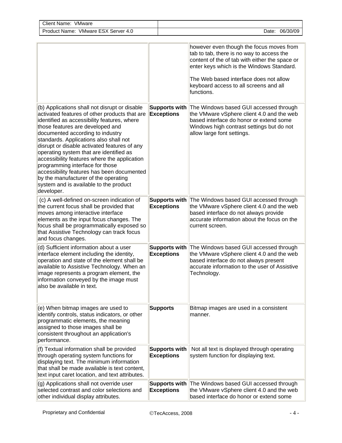| Client Name: VMware                                                                                                                                                                                                                                                                                                                                                                                                                                                                                                                                                                         |                                           |                                                                                                                                                                                                                                                                                        |
|---------------------------------------------------------------------------------------------------------------------------------------------------------------------------------------------------------------------------------------------------------------------------------------------------------------------------------------------------------------------------------------------------------------------------------------------------------------------------------------------------------------------------------------------------------------------------------------------|-------------------------------------------|----------------------------------------------------------------------------------------------------------------------------------------------------------------------------------------------------------------------------------------------------------------------------------------|
| Product Name: VMware ESX Server 4.0                                                                                                                                                                                                                                                                                                                                                                                                                                                                                                                                                         |                                           | Date: 06/30/09                                                                                                                                                                                                                                                                         |
|                                                                                                                                                                                                                                                                                                                                                                                                                                                                                                                                                                                             |                                           | however even though the focus moves from<br>tab to tab, there is no way to access the<br>content of the of tab with either the space or<br>enter keys which is the Windows Standard.<br>The Web based interface does not allow<br>keyboard access to all screens and all<br>functions. |
| (b) Applications shall not disrupt or disable<br>activated features of other products that are<br>identified as accessibility features, where<br>those features are developed and<br>documented according to industry<br>standards. Applications also shall not<br>disrupt or disable activated features of any<br>operating system that are identified as<br>accessibility features where the application<br>programming interface for those<br>accessibility features has been documented<br>by the manufacturer of the operating<br>system and is available to the product<br>developer. | <b>Supports with</b><br><b>Exceptions</b> | The Windows based GUI accessed through<br>the VMware vSphere client 4.0 and the web<br>based interface do honor or extend some<br>Windows high contrast settings but do not<br>allow large font settings.                                                                              |
| (c) A well-defined on-screen indication of<br>the current focus shall be provided that<br>moves among interactive interface<br>elements as the input focus changes. The<br>focus shall be programmatically exposed so<br>that Assistive Technology can track focus<br>and focus changes.                                                                                                                                                                                                                                                                                                    | <b>Supports with</b><br><b>Exceptions</b> | The Windows based GUI accessed through<br>the VMware vSphere client 4.0 and the web<br>based interface do not always provide<br>accurate information about the focus on the<br>current screen.                                                                                         |
| (d) Sufficient information about a user<br>interface element including the identity,<br>operation and state of the element shall be<br>available to Assistive Technology. When an<br>image represents a program element, the<br>information conveyed by the image must<br>also be available in text.                                                                                                                                                                                                                                                                                        | <b>Supports with</b><br><b>Exceptions</b> | The Windows based GUI accessed through<br>the VMware vSphere client 4.0 and the web<br>based interface do not always present<br>accurate information to the user of Assistive<br>Technology.                                                                                           |
| (e) When bitmap images are used to<br>identify controls, status indicators, or other<br>programmatic elements, the meaning<br>assigned to those images shall be<br>consistent throughout an application's<br>performance.                                                                                                                                                                                                                                                                                                                                                                   | <b>Supports</b>                           | Bitmap images are used in a consistent<br>manner.                                                                                                                                                                                                                                      |
| (f) Textual information shall be provided<br>through operating system functions for<br>displaying text. The minimum information<br>that shall be made available is text content,<br>text input caret location, and text attributes.                                                                                                                                                                                                                                                                                                                                                         | <b>Supports with</b><br><b>Exceptions</b> | Not all text is displayed through operating<br>system function for displaying text.                                                                                                                                                                                                    |
| (g) Applications shall not override user<br>selected contrast and color selections and<br>other individual display attributes.                                                                                                                                                                                                                                                                                                                                                                                                                                                              | <b>Supports with</b><br><b>Exceptions</b> | The Windows based GUI accessed through<br>the VMware vSphere client 4.0 and the web<br>based interface do honor or extend some                                                                                                                                                         |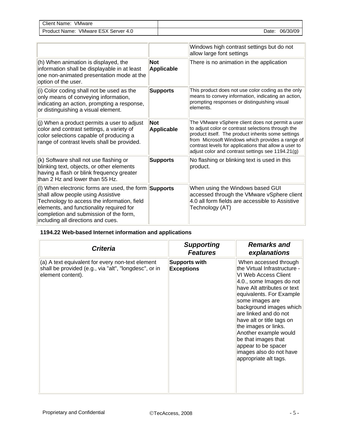| VMware<br>Client<br>Name:                             |                   |                |
|-------------------------------------------------------|-------------------|----------------|
| <b>VMware ESX S</b><br>Product<br>Server 4.0<br>Name: | Jate <sup>-</sup> | 06/3<br>'30/0S |

|                                                                                                                                                                                                                                                                                 |                                 | Windows high contrast settings but do not<br>allow large font settings                                                                                                                                                                                                                                                         |
|---------------------------------------------------------------------------------------------------------------------------------------------------------------------------------------------------------------------------------------------------------------------------------|---------------------------------|--------------------------------------------------------------------------------------------------------------------------------------------------------------------------------------------------------------------------------------------------------------------------------------------------------------------------------|
| (h) When animation is displayed, the<br>information shall be displayable in at least<br>one non-animated presentation mode at the<br>option of the user.                                                                                                                        | <b>Not</b><br>Applicable        | There is no animation in the application                                                                                                                                                                                                                                                                                       |
| (i) Color coding shall not be used as the<br>only means of conveying information,<br>indicating an action, prompting a response,<br>or distinguishing a visual element.                                                                                                         | <b>Supports</b>                 | This product does not use color coding as the only<br>means to convey information, indicating an action,<br>prompting responses or distinguishing visual<br>elements.                                                                                                                                                          |
| (j) When a product permits a user to adjust<br>color and contrast settings, a variety of<br>color selections capable of producing a<br>range of contrast levels shall be provided.                                                                                              | <b>Not</b><br><b>Applicable</b> | The VMware vSphere client does not permit a user<br>to adjust color or contrast selections through the<br>product itself. The product inherits some settings<br>from Microsoft Windows which provides a range of<br>contrast levels for applications that allow a user to<br>adjust color and contrast settings see 1194.21(g) |
| (k) Software shall not use flashing or<br>blinking text, objects, or other elements<br>having a flash or blink frequency greater<br>than 2 Hz and lower than 55 Hz.                                                                                                             | <b>Supports</b>                 | No flashing or blinking text is used in this<br>product.                                                                                                                                                                                                                                                                       |
| (I) When electronic forms are used, the form $\text{Supports}$<br>shall allow people using Assistive<br>Technology to access the information, field<br>elements, and functionality required for<br>completion and submission of the form,<br>including all directions and cues. |                                 | When using the Windows based GUI<br>accessed through the VMware vSphere client<br>4.0 all form fields are accessible to Assistive<br>Technology (AT)                                                                                                                                                                           |

## **1194.22 Web-based Internet information and applications**

| <b>Criteria</b>                                                                                                                | <b>Supporting</b><br><b>Features</b>      | <b>Remarks and</b><br>explanations                                                                                                                                                                                                                                                                                                                                                                                           |
|--------------------------------------------------------------------------------------------------------------------------------|-------------------------------------------|------------------------------------------------------------------------------------------------------------------------------------------------------------------------------------------------------------------------------------------------------------------------------------------------------------------------------------------------------------------------------------------------------------------------------|
| (a) A text equivalent for every non-text element<br>shall be provided (e.g., via "alt", "longdesc", or in<br>element content). | <b>Supports with</b><br><b>Exceptions</b> | When accessed through<br>the Virtual Infrastructure -<br>IVI Web Access Client<br>4.0., some Images do not<br>have Alt attributes or text<br>equivalents. For Example<br>some images are<br>background images which<br>are linked and do not<br>have alt or title tags on<br>the images or links.<br>Another example would<br>be that images that<br>appear to be spacer<br>images also do not have<br>appropriate alt tags. |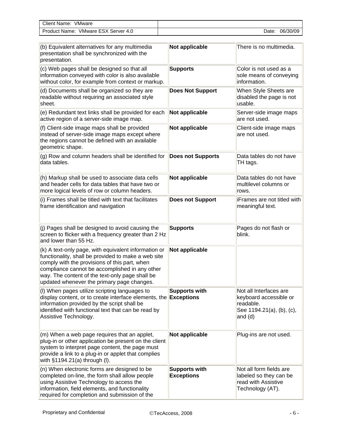| <b>Client Name:</b><br>VMware          |       |          |
|----------------------------------------|-------|----------|
| VMware ESX Server 4.0<br>Product Name: | Date: | 06/30/09 |

| (b) Equivalent alternatives for any multimedia<br>presentation shall be synchronized with the<br>presentation.                                                                                                                                                                                                  | Not applicable                            | There is no multimedia.                                                                                 |
|-----------------------------------------------------------------------------------------------------------------------------------------------------------------------------------------------------------------------------------------------------------------------------------------------------------------|-------------------------------------------|---------------------------------------------------------------------------------------------------------|
| (c) Web pages shall be designed so that all<br>information conveyed with color is also available<br>without color, for example from context or markup.                                                                                                                                                          | <b>Supports</b>                           | Color is not used as a<br>sole means of conveying<br>information.                                       |
| (d) Documents shall be organized so they are<br>readable without requiring an associated style<br>sheet.                                                                                                                                                                                                        | <b>Does Not Support</b>                   | When Style Sheets are<br>disabled the page is not<br>usable.                                            |
| (e) Redundant text links shall be provided for each<br>active region of a server-side image map.                                                                                                                                                                                                                | Not applicable                            | Server-side image maps<br>are not used.                                                                 |
| (f) Client-side image maps shall be provided<br>instead of server-side image maps except where<br>the regions cannot be defined with an available<br>geometric shape.                                                                                                                                           | Not applicable                            | Client-side image maps<br>are not used.                                                                 |
| (g) Row and column headers shall be identified for<br>data tables.                                                                                                                                                                                                                                              | <b>Does not Supports</b>                  | Data tables do not have<br>TH tags.                                                                     |
| (h) Markup shall be used to associate data cells<br>and header cells for data tables that have two or<br>more logical levels of row or column headers.                                                                                                                                                          | Not applicable                            | Data tables do not have<br>multilevel columns or<br>rows.                                               |
| (i) Frames shall be titled with text that facilitates<br>frame identification and navigation                                                                                                                                                                                                                    | <b>Does not Support</b>                   | iFrames are not titled with<br>meaningful text.                                                         |
| (j) Pages shall be designed to avoid causing the<br>screen to flicker with a frequency greater than 2 Hz<br>and lower than 55 Hz.                                                                                                                                                                               | <b>Supports</b>                           | Pages do not flash or<br>blink.                                                                         |
| (k) A text-only page, with equivalent information or<br>functionality, shall be provided to make a web site<br>comply with the provisions of this part, when<br>compliance cannot be accomplished in any other<br>way. The content of the text-only page shall be<br>updated whenever the primary page changes. | Not applicable                            |                                                                                                         |
| (I) When pages utilize scripting languages to<br>display content, or to create interface elements, the <b>Exceptions</b><br>information provided by the script shall be<br>identified with functional text that can be read by<br>Assistive Technology.                                                         | <b>Supports with</b>                      | Not all Interfaces are<br>keyboard accessible or<br>readable.<br>See 1194.21(a), (b), (c),<br>and $(d)$ |
| (m) When a web page requires that an applet,<br>plug-in or other application be present on the client<br>system to interpret page content, the page must<br>provide a link to a plug-in or applet that complies<br>with §1194.21(a) through (I).                                                                | Not applicable                            | Plug-ins are not used.                                                                                  |
| (n) When electronic forms are designed to be<br>completed on-line, the form shall allow people<br>using Assistive Technology to access the<br>information, field elements, and functionality<br>required for completion and submission of the                                                                   | <b>Supports with</b><br><b>Exceptions</b> | Not all form fields are<br>labeled so they can be<br>read with Assistive<br>Technology (AT).            |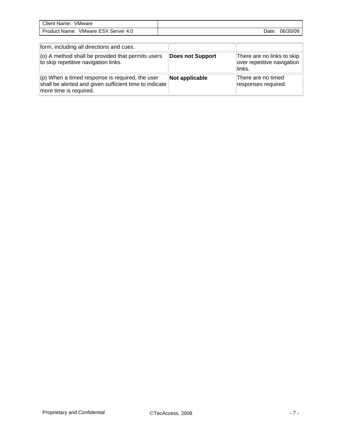| VMware<br>$C$ lient<br>Name.              |      |          |
|-------------------------------------------|------|----------|
| VMware ESX Server 4.0<br>Product<br>Name: | Date | 06/30/09 |

| form, including all directions and cues.                                                                                                |                         |                                                                    |
|-----------------------------------------------------------------------------------------------------------------------------------------|-------------------------|--------------------------------------------------------------------|
| (o) A method shall be provided that permits users<br>to skip repetitive navigation links.                                               | <b>Does not Support</b> | There are no links to skip<br>over repetitive navigation<br>links. |
| $ $ (p) When a timed response is required, the user<br>shall be alerted and given sufficient time to indicate<br>more time is required. | Not applicable          | There are no timed<br>responses required.                          |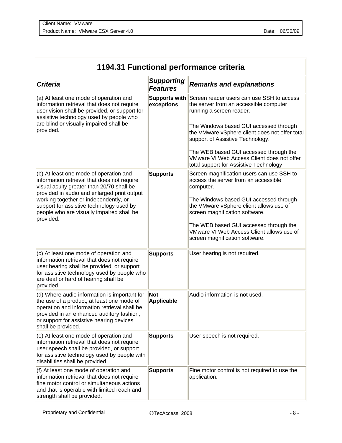| 1194.31 Functional performance criteria                                                                                                                                                                                                                                                                             |                                      |                                                                                                                                |  |  |
|---------------------------------------------------------------------------------------------------------------------------------------------------------------------------------------------------------------------------------------------------------------------------------------------------------------------|--------------------------------------|--------------------------------------------------------------------------------------------------------------------------------|--|--|
| <b>Criteria</b>                                                                                                                                                                                                                                                                                                     | <b>Supporting</b><br><b>Features</b> | <b>Remarks and explanations</b>                                                                                                |  |  |
| (a) At least one mode of operation and<br>information retrieval that does not require<br>user vision shall be provided, or support for<br>assistive technology used by people who<br>are blind or visually impaired shall be<br>provided.                                                                           | exceptions                           | Supports with Screen reader users can use SSH to access<br>the server from an accessible computer<br>running a screen reader.  |  |  |
|                                                                                                                                                                                                                                                                                                                     |                                      | The Windows based GUI accessed through<br>the VMware vSphere client does not offer total<br>support of Assistive Technology.   |  |  |
|                                                                                                                                                                                                                                                                                                                     |                                      | The WEB based GUI accessed through the<br>VMware VI Web Access Client does not offer<br>total support for Assistive Technology |  |  |
| (b) At least one mode of operation and<br>information retrieval that does not require<br>visual acuity greater than 20/70 shall be<br>provided in audio and enlarged print output<br>working together or independently, or<br>support for assistive technology used by<br>people who are visually impaired shall be | <b>Supports</b>                      | Screen magnification users can use SSH to<br>access the server from an accessible<br>computer.                                 |  |  |
|                                                                                                                                                                                                                                                                                                                     |                                      | The Windows based GUI accessed through<br>the VMware vSphere client allows use of<br>screen magnification software.            |  |  |
| provided.                                                                                                                                                                                                                                                                                                           |                                      | The WEB based GUI accessed through the<br>VMware VI Web Access Client allows use of<br>screen magnification software.          |  |  |
| (c) At least one mode of operation and<br>information retrieval that does not require<br>user hearing shall be provided, or support<br>for assistive technology used by people who<br>are deaf or hard of hearing shall be<br>provided.                                                                             | <b>Supports</b>                      | User hearing is not required.                                                                                                  |  |  |
| (d) Where audio information is important for<br>the use of a product, at least one mode of<br>operation and information retrieval shall be<br>provided in an enhanced auditory fashion,<br>or support for assistive hearing devices<br>shall be provided.                                                           | <b>Not</b><br><b>Applicable</b>      | Audio information is not used.                                                                                                 |  |  |
| (e) At least one mode of operation and<br>information retrieval that does not require<br>user speech shall be provided, or support<br>for assistive technology used by people with<br>disabilities shall be provided.                                                                                               | <b>Supports</b>                      | User speech is not required.                                                                                                   |  |  |
| (f) At least one mode of operation and<br>information retrieval that does not require<br>fine motor control or simultaneous actions<br>and that is operable with limited reach and<br>strength shall be provided.                                                                                                   | <b>Supports</b>                      | Fine motor control is not required to use the<br>application.                                                                  |  |  |